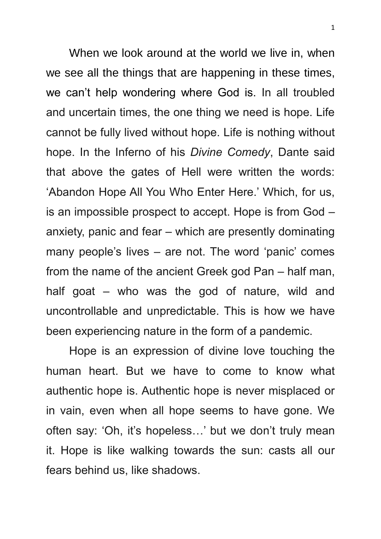When we look around at the world we live in, when we see all the things that are happening in these times, we can't help wondering where God is. In all troubled and uncertain times, the one thing we need is hope. Life cannot be fully lived without hope. Life is nothing without hope. In the Inferno of his *Divine Comedy*, Dante said that above the gates of Hell were written the words: 'Abandon Hope All You Who Enter Here.' Which, for us, is an impossible prospect to accept. Hope is from God – anxiety, panic and fear – which are presently dominating many people's lives – are not. The word 'panic' comes from the name of the ancient Greek god Pan – half man, half goat – who was the god of nature, wild and uncontrollable and unpredictable. This is how we have been experiencing nature in the form of a pandemic.

Hope is an expression of divine love touching the human heart. But we have to come to know what authentic hope is. Authentic hope is never misplaced or in vain, even when all hope seems to have gone. We often say: 'Oh, it's hopeless…' but we don't truly mean it. Hope is like walking towards the sun: casts all our fears behind us, like shadows.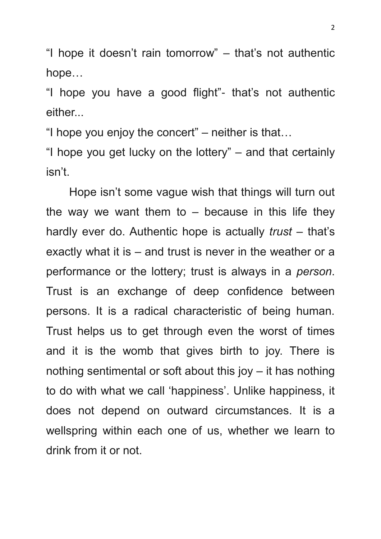"I hope it doesn't rain tomorrow" – that's not authentic hope…

"I hope you have a good flight"- that's not authentic either...

"I hope you enjoy the concert" – neither is that…

"I hope you get lucky on the lottery" – and that certainly isn't.

Hope isn't some vague wish that things will turn out the way we want them to  $-$  because in this life they hardly ever do. Authentic hope is actually *trust* – that's exactly what it is – and trust is never in the weather or a performance or the lottery; trust is always in a *person*. Trust is an exchange of deep confidence between persons. It is a radical characteristic of being human. Trust helps us to get through even the worst of times and it is the womb that gives birth to joy. There is nothing sentimental or soft about this joy – it has nothing to do with what we call 'happiness'. Unlike happiness, it does not depend on outward circumstances. It is a wellspring within each one of us, whether we learn to drink from it or not.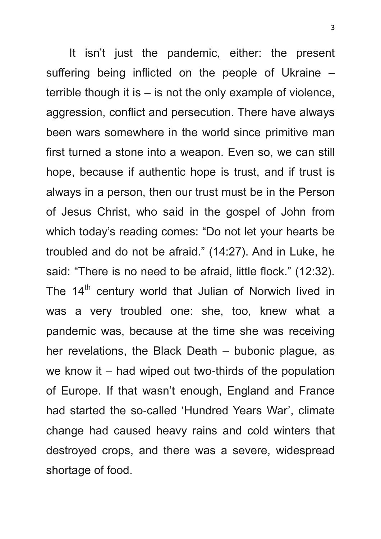It isn't just the pandemic, either: the present suffering being inflicted on the people of Ukraine – terrible though it is – is not the only example of violence, aggression, conflict and persecution. There have always been wars somewhere in the world since primitive man first turned a stone into a weapon. Even so, we can still hope, because if authentic hope is trust, and if trust is always in a person, then our trust must be in the Person of Jesus Christ, who said in the gospel of John from which today's reading comes: "Do not let your hearts be troubled and do not be afraid." (14:27). And in Luke, he said: "There is no need to be afraid, little flock." (12:32). The 14<sup>th</sup> century world that Julian of Norwich lived in was a very troubled one: she, too, knew what a pandemic was, because at the time she was receiving her revelations, the Black Death – bubonic plague, as we know it – had wiped out two-thirds of the population of Europe. If that wasn't enough, England and France had started the so-called 'Hundred Years War', climate change had caused heavy rains and cold winters that destroyed crops, and there was a severe, widespread shortage of food.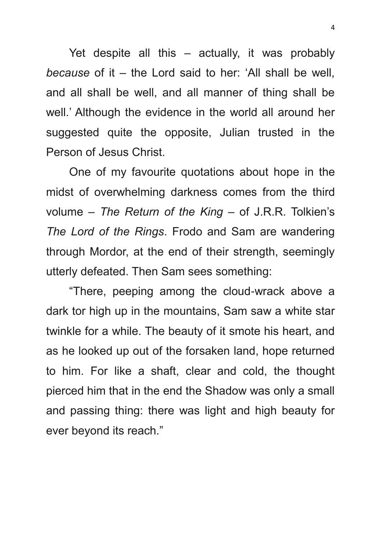Yet despite all this – actually, it was probably *because* of it – the Lord said to her: 'All shall be well, and all shall be well, and all manner of thing shall be well.' Although the evidence in the world all around her suggested quite the opposite, Julian trusted in the Person of Jesus Christ.

One of my favourite quotations about hope in the midst of overwhelming darkness comes from the third volume – *The Return of the King –* of J.R.R. Tolkien's *The Lord of the Rings*. Frodo and Sam are wandering through Mordor, at the end of their strength, seemingly utterly defeated. Then Sam sees something:

"There, peeping among the cloud-wrack above a dark tor high up in the mountains, Sam saw a white star twinkle for a while. The beauty of it smote his heart, and as he looked up out of the forsaken land, hope returned to him. For like a shaft, clear and cold, the thought pierced him that in the end the Shadow was only a small and passing thing: there was light and high beauty for ever beyond its reach."